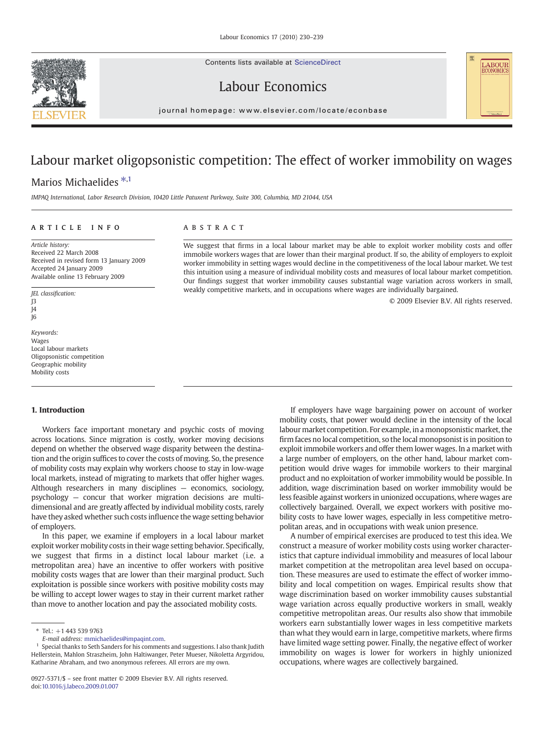Contents lists available at ScienceDirect





 $j$  or expression and  $i$  is even if the common order

## Labour market oligopsonistic competition: The effect of worker immobility on wages

### Marios Michaelides  $*$ ,1

IMPAQ International, Labor Research Division, 10420 Little Patuxent Parkway, Suite 300, Columbia, MD 21044, USA

#### article info abstract

Article history: Received 22 March 2008 Received in revised form 13 January 2009 Accepted 24 January 2009 Available online 13 February 2009

JEL classification: J3 J4 J6

Keywords: Wages Local labour markets Oligopsonistic competition Geographic mobility Mobility costs

#### 1. Introduction

Workers face important monetary and psychic costs of moving across locations. Since migration is costly, worker moving decisions depend on whether the observed wage disparity between the destination and the origin suffices to cover the costs of moving. So, the presence of mobility costs may explain why workers choose to stay in low-wage local markets, instead of migrating to markets that offer higher wages. Although researchers in many disciplines — economics, sociology, psychology — concur that worker migration decisions are multidimensional and are greatly affected by individual mobility costs, rarely have they asked whether such costs influence the wage setting behavior of employers.

In this paper, we examine if employers in a local labour market exploit worker mobility costs in their wage setting behavior. Specifically, we suggest that firms in a distinct local labour market (i.e. a metropolitan area) have an incentive to offer workers with positive mobility costs wages that are lower than their marginal product. Such exploitation is possible since workers with positive mobility costs may be willing to accept lower wages to stay in their current market rather than move to another location and pay the associated mobility costs.

© 2009 Elsevier B.V. All rights reserved.

We suggest that firms in a local labour market may be able to exploit worker mobility costs and offer immobile workers wages that are lower than their marginal product. If so, the ability of employers to exploit worker immobility in setting wages would decline in the competitiveness of the local labour market. We test this intuition using a measure of individual mobility costs and measures of local labour market competition. Our findings suggest that worker immobility causes substantial wage variation across workers in small,

weakly competitive markets, and in occupations where wages are individually bargained.

If employers have wage bargaining power on account of worker mobility costs, that power would decline in the intensity of the local labour market competition. For example, in a monopsonistic market, the firm faces no local competition, so the local monopsonist is in position to exploit immobile workers and offer them lower wages. In a market with a large number of employers, on the other hand, labour market competition would drive wages for immobile workers to their marginal product and no exploitation of worker immobility would be possible. In addition, wage discrimination based on worker immobility would be less feasible against workers in unionized occupations, where wages are collectively bargained. Overall, we expect workers with positive mobility costs to have lower wages, especially in less competitive metropolitan areas, and in occupations with weak union presence.

LABOUR<br>ECONOMICS

A number of empirical exercises are produced to test this idea. We construct a measure of worker mobility costs using worker characteristics that capture individual immobility and measures of local labour market competition at the metropolitan area level based on occupation. These measures are used to estimate the effect of worker immobility and local competition on wages. Empirical results show that wage discrimination based on worker immobility causes substantial wage variation across equally productive workers in small, weakly competitive metropolitan areas. Our results also show that immobile workers earn substantially lower wages in less competitive markets than what they would earn in large, competitive markets, where firms have limited wage setting power. Finally, the negative effect of worker immobility on wages is lower for workers in highly unionized occupations, where wages are collectively bargained.

 $*$  Tel.:  $+1$  443 539 9763

E-mail address: [mmichaelides@impaqint.com.](mailto:mmichaelides@impaqint.com)

<sup>&</sup>lt;sup>1</sup> Special thanks to Seth Sanders for his comments and suggestions. I also thank Judith Hellerstein, Mahlon Straszheim, John Haltiwanger, Peter Mueser, Nikoletta Argyridou, Katharine Abraham, and two anonymous referees. All errors are my own.

<sup>0927-5371/\$</sup> – see front matter © 2009 Elsevier B.V. All rights reserved. doi[:10.1016/j.labeco.2009.01.007](http://dx.doi.org/10.1016/j.labeco.2009.01.007)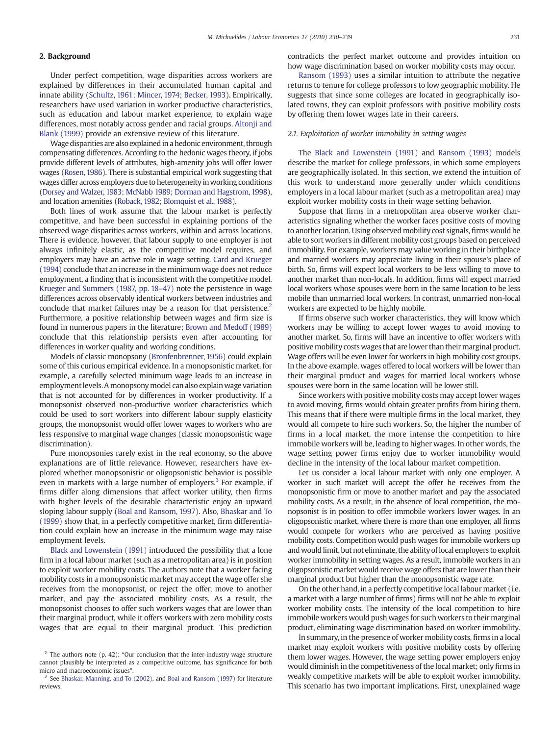#### 2. Background

Under perfect competition, wage disparities across workers are explained by differences in their accumulated human capital and innate ability [\(Schultz, 1961; Mincer, 1974; Becker, 1993\)](#page--1-0). Empirically, researchers have used variation in worker productive characteristics, such as education and labour market experience, to explain wage differences, most notably across gender and racial groups. [Altonji and](#page--1-0) [Blank \(1999\)](#page--1-0) provide an extensive review of this literature.

Wage disparities are also explained in a hedonic environment, through compensating differences. According to the hedonic wages theory, if jobs provide different levels of attributes, high-amenity jobs will offer lower wages ([Rosen, 1986](#page--1-0)). There is substantial empirical work suggesting that wages differ across employers due to heterogeneity inworking conditions [\(Dorsey and Walzer, 1983; McNabb 1989; Dorman and Hagstrom, 1998](#page--1-0)), and location amenities [\(Roback, 1982; Blomquist et al., 1988](#page--1-0)).

Both lines of work assume that the labour market is perfectly competitive, and have been successful in explaining portions of the observed wage disparities across workers, within and across locations. There is evidence, however, that labour supply to one employer is not always infinitely elastic, as the competitive model requires, and employers may have an active role in wage setting. [Card and Krueger](#page--1-0) [\(1994\)](#page--1-0) conclude that an increase in the minimum wage does not reduce employment, a finding that is inconsistent with the competitive model. [Krueger and Summers \(1987, pp. 18](#page--1-0)–47) note the persistence in wage differences across observably identical workers between industries and conclude that market failures may be a reason for that persistence.<sup>2</sup> Furthermore, a positive relationship between wages and firm size is found in numerous papers in the literature; [Brown and Medoff \(1989\)](#page--1-0) conclude that this relationship persists even after accounting for differences in worker quality and working conditions.

Models of classic monopsony ([Bronfenbrenner, 1956](#page--1-0)) could explain some of this curious empirical evidence. In a monopsonistic market, for example, a carefully selected minimum wage leads to an increase in employment levels. A monopsony model can also explainwage variation that is not accounted for by differences in worker productivity. If a monopsonist observed non-productive worker characteristics which could be used to sort workers into different labour supply elasticity groups, the monopsonist would offer lower wages to workers who are less responsive to marginal wage changes (classic monopsonistic wage discrimination).

Pure monopsonies rarely exist in the real economy, so the above explanations are of little relevance. However, researchers have explored whether monopsonistic or oligopsonistic behavior is possible even in markets with a large number of employers.<sup>3</sup> For example, if firms differ along dimensions that affect worker utility, then firms with higher levels of the desirable characteristic enjoy an upward sloping labour supply [\(Boal and Ransom, 1997\)](#page--1-0). Also, [Bhaskar and To](#page--1-0) [\(1999\)](#page--1-0) show that, in a perfectly competitive market, firm differentiation could explain how an increase in the minimum wage may raise employment levels.

[Black and Lowenstein \(1991\)](#page--1-0) introduced the possibility that a lone firm in a local labour market (such as a metropolitan area) is in position to exploit worker mobility costs. The authors note that a worker facing mobility costs in a monopsonistic market may accept the wage offer she receives from the monopsonist, or reject the offer, move to another market, and pay the associated mobility costs. As a result, the monopsonist chooses to offer such workers wages that are lower than their marginal product, while it offers workers with zero mobility costs wages that are equal to their marginal product. This prediction contradicts the perfect market outcome and provides intuition on how wage discrimination based on worker mobility costs may occur.

[Ransom \(1993\)](#page--1-0) uses a similar intuition to attribute the negative returns to tenure for college professors to low geographic mobility. He suggests that since some colleges are located in geographically isolated towns, they can exploit professors with positive mobility costs by offering them lower wages late in their careers.

#### 2.1. Exploitation of worker immobility in setting wages

The [Black and Lowenstein \(1991\)](#page--1-0) and [Ransom \(1993\)](#page--1-0) models describe the market for college professors, in which some employers are geographically isolated. In this section, we extend the intuition of this work to understand more generally under which conditions employers in a local labour market (such as a metropolitan area) may exploit worker mobility costs in their wage setting behavior.

Suppose that firms in a metropolitan area observe worker characteristics signaling whether the worker faces positive costs of moving to another location. Using observed mobility cost signals, firms would be able to sort workers in different mobility cost groups based on perceived immobility. For example, workers may value working in their birthplace and married workers may appreciate living in their spouse's place of birth. So, firms will expect local workers to be less willing to move to another market than non-locals. In addition, firms will expect married local workers whose spouses were born in the same location to be less mobile than unmarried local workers. In contrast, unmarried non-local workers are expected to be highly mobile.

If firms observe such worker characteristics, they will know which workers may be willing to accept lower wages to avoid moving to another market. So, firms will have an incentive to offer workers with positive mobility costs wages that are lower than their marginal product. Wage offers will be even lower for workers in high mobility cost groups. In the above example, wages offered to local workers will be lower than their marginal product and wages for married local workers whose spouses were born in the same location will be lower still.

Since workers with positive mobility costs may accept lower wages to avoid moving, firms would obtain greater profits from hiring them. This means that if there were multiple firms in the local market, they would all compete to hire such workers. So, the higher the number of firms in a local market, the more intense the competition to hire immobile workers will be, leading to higher wages. In other words, the wage setting power firms enjoy due to worker immobility would decline in the intensity of the local labour market competition.

Let us consider a local labour market with only one employer. A worker in such market will accept the offer he receives from the monopsonistic firm or move to another market and pay the associated mobility costs. As a result, in the absence of local competition, the monopsonist is in position to offer immobile workers lower wages. In an oligopsonistic market, where there is more than one employer, all firms would compete for workers who are perceived as having positive mobility costs. Competition would push wages for immobile workers up and would limit, but not eliminate, the ability of local employers to exploit worker immobility in setting wages. As a result, immobile workers in an oligopsonistic market would receive wage offers that are lower than their marginal product but higher than the monopsonistic wage rate.

On the other hand, in a perfectly competitive local labour market (i.e. a market with a large number of firms) firms will not be able to exploit worker mobility costs. The intensity of the local competition to hire immobile workers would push wages for such workers to their marginal product, eliminating wage discrimination based on worker immobility.

In summary, in the presence of worker mobility costs, firms in a local market may exploit workers with positive mobility costs by offering them lower wages. However, the wage setting power employers enjoy would diminish in the competitiveness of the local market; only firms in weakly competitive markets will be able to exploit worker immobility. This scenario has two important implications. First, unexplained wage

 $2$  The authors note (p. 42): "Our conclusion that the inter-industry wage structure cannot plausibly be interpreted as a competitive outcome, has significance for both micro and macroeconomic issues".

<sup>&</sup>lt;sup>3</sup> See [Bhaskar, Manning, and To \(2002\),](#page--1-0) and [Boal and Ransom \(1997\)](#page--1-0) for literature reviews.